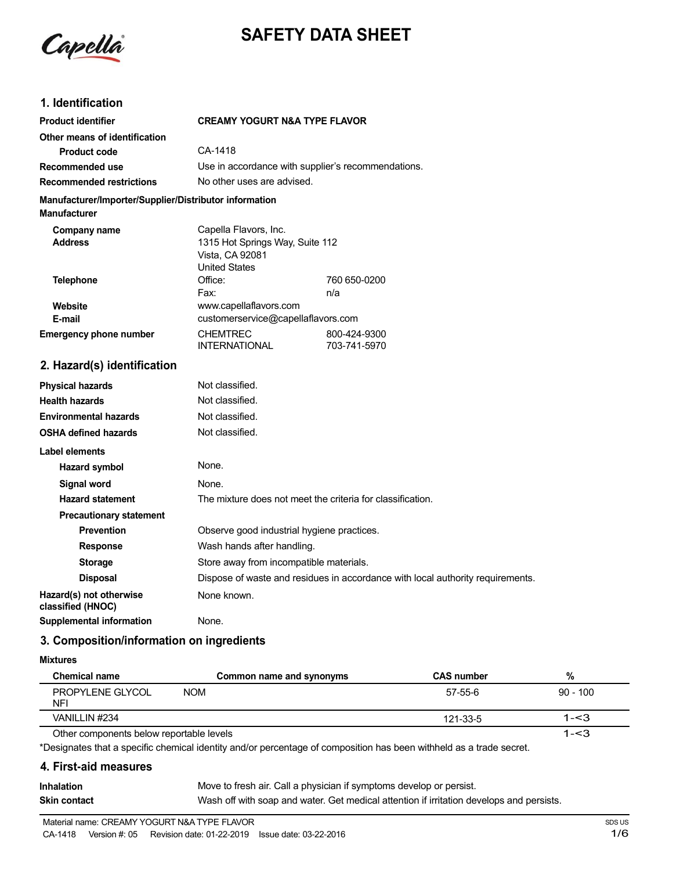

# **SAFETY DATA SHEET**

# **1. Identification**

| <b>Product identifier</b>                                                     |                                                                                                     | <b>CREAMY YOGURT N&amp;A TYPE FLAVOR</b>           |  |
|-------------------------------------------------------------------------------|-----------------------------------------------------------------------------------------------------|----------------------------------------------------|--|
| Other means of identification                                                 |                                                                                                     |                                                    |  |
| <b>Product code</b>                                                           | CA-1418                                                                                             |                                                    |  |
| Recommended use                                                               |                                                                                                     | Use in accordance with supplier's recommendations. |  |
| <b>Recommended restrictions</b>                                               |                                                                                                     | No other uses are advised.                         |  |
| Manufacturer/Importer/Supplier/Distributor information<br><b>Manufacturer</b> |                                                                                                     |                                                    |  |
| Company name<br><b>Address</b>                                                | Capella Flavors, Inc.<br>1315 Hot Springs Way, Suite 112<br>Vista, CA 92081<br><b>United States</b> |                                                    |  |
| <b>Telephone</b>                                                              | Office:                                                                                             | 760 650-0200                                       |  |
|                                                                               | Fax:                                                                                                | n/a                                                |  |
| Website                                                                       |                                                                                                     | www.capellaflavors.com                             |  |
| E-mail                                                                        |                                                                                                     | customerservice@capellaflavors.com                 |  |
| <b>Emergency phone number</b>                                                 | <b>CHEMTREC</b><br><b>INTERNATIONAL</b>                                                             | 800-424-9300<br>703-741-5970                       |  |
| 2. Hazard(s) identification                                                   |                                                                                                     |                                                    |  |
| <b>Physical hazards</b>                                                       | Not classified.                                                                                     |                                                    |  |
| <b>Health hazards</b>                                                         | Not classified.                                                                                     |                                                    |  |
| <b>Environmental hazards</b>                                                  | Not classified.                                                                                     |                                                    |  |
| <b>OSHA defined hazards</b>                                                   | Not classified.                                                                                     |                                                    |  |

| OOHA GUNIUG HULUI UJ                         |                                                                                |
|----------------------------------------------|--------------------------------------------------------------------------------|
| Label elements                               |                                                                                |
| <b>Hazard symbol</b>                         | None.                                                                          |
| Signal word                                  | None.                                                                          |
| <b>Hazard statement</b>                      | The mixture does not meet the criteria for classification.                     |
| <b>Precautionary statement</b>               |                                                                                |
| <b>Prevention</b>                            | Observe good industrial hygiene practices.                                     |
| <b>Response</b>                              | Wash hands after handling.                                                     |
| <b>Storage</b>                               | Store away from incompatible materials.                                        |
| <b>Disposal</b>                              | Dispose of waste and residues in accordance with local authority requirements. |
| Hazard(s) not otherwise<br>classified (HNOC) | None known.                                                                    |
| <b>Supplemental information</b>              | None.                                                                          |

## **3. Composition/information on ingredients**

#### **Mixtures**

| <b>Chemical name</b>                     | Common name and synonyms | <b>CAS number</b> | %          |
|------------------------------------------|--------------------------|-------------------|------------|
| PROPYLENE GLYCOL<br><b>NFI</b>           | <b>NOM</b>               | 57-55-6           | $90 - 100$ |
| VANILLIN #234                            |                          | 121-33-5          | $1 - 3$    |
| Other components below reportable levels |                          |                   | 1-<3       |

Other components below reportable levels

\*Designates that a specific chemical identity and/or percentage of composition has been withheld as a trade secret.

### **4. First-aid measures**

| <b>Inhalation</b> | Move to fresh air. Call a physician if symptoms develop or persist.                      |
|-------------------|------------------------------------------------------------------------------------------|
| Skin contact      | Wash off with soap and water. Get medical attention if irritation develops and persists. |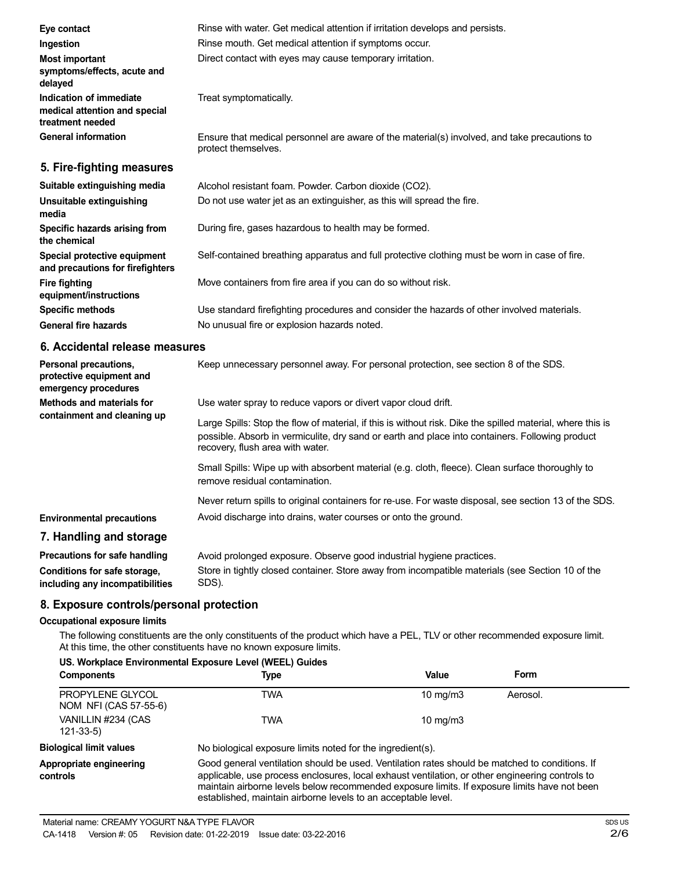| Eye contact                                                                  | Rinse with water. Get medical attention if irritation develops and persists.                                        |
|------------------------------------------------------------------------------|---------------------------------------------------------------------------------------------------------------------|
| Ingestion                                                                    | Rinse mouth. Get medical attention if symptoms occur.                                                               |
| Most important<br>symptoms/effects, acute and<br>delayed                     | Direct contact with eyes may cause temporary irritation.                                                            |
| Indication of immediate<br>medical attention and special<br>treatment needed | Treat symptomatically.                                                                                              |
| <b>General information</b>                                                   | Ensure that medical personnel are aware of the material(s) involved, and take precautions to<br>protect themselves. |
| 5. Fire-fighting measures                                                    |                                                                                                                     |
| Suitable extinguishing media                                                 | Alcohol resistant foam. Powder. Carbon dioxide (CO2).                                                               |
| Unsuitable extinguishing<br>media                                            | Do not use water jet as an extinguisher, as this will spread the fire.                                              |
| Specific hazards arising from<br>the chemical                                | During fire, gases hazardous to health may be formed.                                                               |
| Special protective equipment<br>and precautions for firefighters             | Self-contained breathing apparatus and full protective clothing must be worn in case of fire.                       |
| <b>Fire fighting</b><br>equipment/instructions                               | Move containers from fire area if you can do so without risk.                                                       |
| <b>Specific methods</b>                                                      | Use standard firefighting procedures and consider the hazards of other involved materials.                          |
| <b>General fire hazards</b>                                                  | No unusual fire or explosion hazards noted.                                                                         |

## **6. Accidental release measures**

| Personal precautions,<br>protective equipment and<br>emergency procedures | Keep unnecessary personnel away. For personal protection, see section 8 of the SDS.                                                                                                                                                               |
|---------------------------------------------------------------------------|---------------------------------------------------------------------------------------------------------------------------------------------------------------------------------------------------------------------------------------------------|
| Methods and materials for<br>containment and cleaning up                  | Use water spray to reduce vapors or divert vapor cloud drift.                                                                                                                                                                                     |
|                                                                           | Large Spills: Stop the flow of material, if this is without risk. Dike the spilled material, where this is<br>possible. Absorb in vermiculite, dry sand or earth and place into containers. Following product<br>recovery, flush area with water. |
|                                                                           | Small Spills: Wipe up with absorbent material (e.g. cloth, fleece). Clean surface thoroughly to<br>remove residual contamination.                                                                                                                 |
|                                                                           | Never return spills to original containers for re-use. For waste disposal, see section 13 of the SDS.                                                                                                                                             |
| <b>Environmental precautions</b>                                          | Avoid discharge into drains, water courses or onto the ground.                                                                                                                                                                                    |
| 7. Handling and storage                                                   |                                                                                                                                                                                                                                                   |
| <b>Precautions for safe handling</b>                                      | Avoid prolonged exposure. Observe good industrial hygiene practices.                                                                                                                                                                              |
|                                                                           |                                                                                                                                                                                                                                                   |

| <b>Processions</b> for our manaming | , word proforged exposure. Observe good industrial hygiene practices.                            |
|-------------------------------------|--------------------------------------------------------------------------------------------------|
| Conditions for safe storage,        | Store in tightly closed container. Store away from incompatible materials (see Section 10 of the |
| including any incompatibilities     | SDS).                                                                                            |
|                                     |                                                                                                  |

# **8. Exposure controls/personal protection**

## **Occupational exposure limits**

The following constituents are the only constituents of the product which have a PEL, TLV or other recommended exposure limit. At this time, the other constituents have no known exposure limits.

| US. Workplace Environmental Exposure Level (WEEL) Guides |                                                                                                                                                                                                                                                                                                                                                                    |                   |          |
|----------------------------------------------------------|--------------------------------------------------------------------------------------------------------------------------------------------------------------------------------------------------------------------------------------------------------------------------------------------------------------------------------------------------------------------|-------------------|----------|
| <b>Components</b>                                        | Type                                                                                                                                                                                                                                                                                                                                                               | Value             | Form     |
| PROPYLENE GLYCOL<br>NOM NFI (CAS 57-55-6)                | TWA                                                                                                                                                                                                                                                                                                                                                                | $10 \text{ mg/m}$ | Aerosol. |
| VANILLIN #234 (CAS<br>$121 - 33 - 5$                     | TWA                                                                                                                                                                                                                                                                                                                                                                | $10 \text{ mg/m}$ |          |
| <b>Biological limit values</b>                           | No biological exposure limits noted for the ingredient(s).                                                                                                                                                                                                                                                                                                         |                   |          |
| Appropriate engineering<br>controls                      | Good general ventilation should be used. Ventilation rates should be matched to conditions. If<br>applicable, use process enclosures, local exhaust ventilation, or other engineering controls to<br>maintain airborne levels below recommended exposure limits. If exposure limits have not been<br>established, maintain airborne levels to an acceptable level. |                   |          |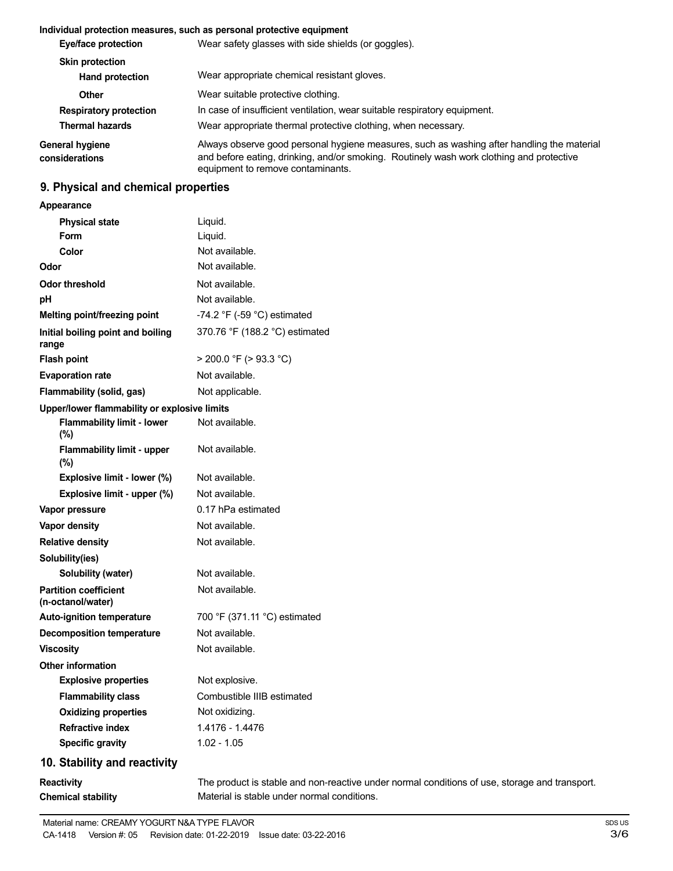#### **Individual protection measures, such as personal protective equipment**

| Eye/face protection                              | Wear safety glasses with side shields (or goggles).                                                                                                                                                                         |
|--------------------------------------------------|-----------------------------------------------------------------------------------------------------------------------------------------------------------------------------------------------------------------------------|
| <b>Skin protection</b><br><b>Hand protection</b> | Wear appropriate chemical resistant gloves.                                                                                                                                                                                 |
| Other                                            | Wear suitable protective clothing.                                                                                                                                                                                          |
| <b>Respiratory protection</b>                    | In case of insufficient ventilation, wear suitable respiratory equipment.                                                                                                                                                   |
| <b>Thermal hazards</b>                           | Wear appropriate thermal protective clothing, when necessary.                                                                                                                                                               |
| General hygiene<br>considerations                | Always observe good personal hygiene measures, such as washing after handling the material<br>and before eating, drinking, and/or smoking. Routinely wash work clothing and protective<br>equipment to remove contaminants. |

# **9. Physical and chemical properties**

**Appearance**

| <b>Physical state</b>                             | Liquid.                                                                                       |
|---------------------------------------------------|-----------------------------------------------------------------------------------------------|
| Form                                              | Liquid.                                                                                       |
| Color                                             | Not available.                                                                                |
| Odor                                              | Not available.                                                                                |
| <b>Odor threshold</b>                             | Not available.                                                                                |
| рH                                                | Not available.                                                                                |
| Melting point/freezing point                      | -74.2 $\degree$ F (-59 $\degree$ C) estimated                                                 |
| Initial boiling point and boiling<br>range        | 370.76 °F (188.2 °C) estimated                                                                |
| <b>Flash point</b>                                | $>$ 200.0 °F ( $>$ 93.3 °C)                                                                   |
| <b>Evaporation rate</b>                           | Not available.                                                                                |
| Flammability (solid, gas)                         | Not applicable.                                                                               |
| Upper/lower flammability or explosive limits      |                                                                                               |
| <b>Flammability limit - lower</b><br>(%)          | Not available.                                                                                |
| <b>Flammability limit - upper</b><br>(%)          | Not available.                                                                                |
| Explosive limit - lower (%)                       | Not available.                                                                                |
| Explosive limit - upper (%)                       | Not available.                                                                                |
| Vapor pressure                                    | 0.17 hPa estimated                                                                            |
| Vapor density                                     | Not available.                                                                                |
| <b>Relative density</b>                           | Not available.                                                                                |
| Solubility(ies)                                   |                                                                                               |
| Solubility (water)                                | Not available.                                                                                |
| <b>Partition coefficient</b><br>(n-octanol/water) | Not available.                                                                                |
| <b>Auto-ignition temperature</b>                  | 700 °F (371.11 °C) estimated                                                                  |
| <b>Decomposition temperature</b>                  | Not available.                                                                                |
| <b>Viscosity</b>                                  | Not available.                                                                                |
| Other information                                 |                                                                                               |
| <b>Explosive properties</b>                       | Not explosive.                                                                                |
| <b>Flammability class</b>                         | Combustible IIIB estimated                                                                    |
| <b>Oxidizing properties</b>                       | Not oxidizing.                                                                                |
| <b>Refractive index</b>                           | 1.4176 - 1.4476                                                                               |
| <b>Specific gravity</b>                           | $1.02 - 1.05$                                                                                 |
| 10. Stability and reactivity                      |                                                                                               |
| <b>Reactivity</b>                                 | The product is stable and non-reactive under normal conditions of use, storage and transport. |

Material is stable under normal conditions.

**Chemical stability**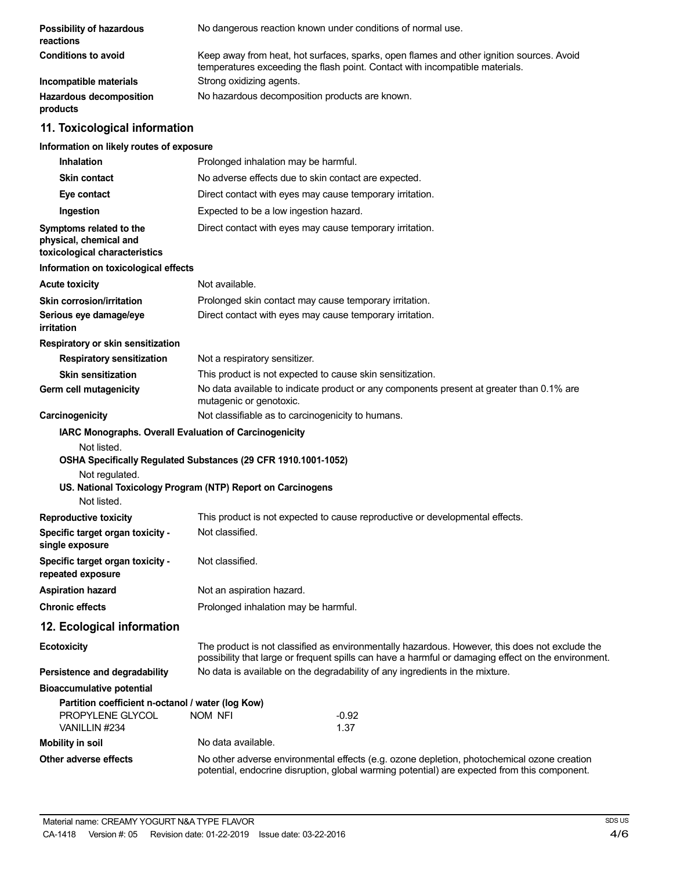| Possibility of hazardous<br>reactions                                                  | No dangerous reaction known under conditions of normal use.                                                                                                                                           |
|----------------------------------------------------------------------------------------|-------------------------------------------------------------------------------------------------------------------------------------------------------------------------------------------------------|
| <b>Conditions to avoid</b>                                                             | Keep away from heat, hot surfaces, sparks, open flames and other ignition sources. Avoid<br>temperatures exceeding the flash point. Contact with incompatible materials.                              |
| Incompatible materials                                                                 | Strong oxidizing agents.                                                                                                                                                                              |
| <b>Hazardous decomposition</b><br>products                                             | No hazardous decomposition products are known.                                                                                                                                                        |
| 11. Toxicological information                                                          |                                                                                                                                                                                                       |
| Information on likely routes of exposure                                               |                                                                                                                                                                                                       |
| <b>Inhalation</b>                                                                      | Prolonged inhalation may be harmful.                                                                                                                                                                  |
| <b>Skin contact</b>                                                                    | No adverse effects due to skin contact are expected.                                                                                                                                                  |
| Eye contact                                                                            | Direct contact with eyes may cause temporary irritation.                                                                                                                                              |
| Ingestion                                                                              | Expected to be a low ingestion hazard.                                                                                                                                                                |
| Symptoms related to the<br>physical, chemical and<br>toxicological characteristics     | Direct contact with eyes may cause temporary irritation.                                                                                                                                              |
| Information on toxicological effects                                                   |                                                                                                                                                                                                       |
| <b>Acute toxicity</b>                                                                  | Not available.                                                                                                                                                                                        |
| <b>Skin corrosion/irritation</b>                                                       | Prolonged skin contact may cause temporary irritation.                                                                                                                                                |
| Serious eye damage/eye<br>irritation                                                   | Direct contact with eyes may cause temporary irritation.                                                                                                                                              |
| Respiratory or skin sensitization                                                      |                                                                                                                                                                                                       |
| <b>Respiratory sensitization</b>                                                       | Not a respiratory sensitizer.                                                                                                                                                                         |
| <b>Skin sensitization</b>                                                              | This product is not expected to cause skin sensitization.                                                                                                                                             |
| Germ cell mutagenicity                                                                 | No data available to indicate product or any components present at greater than 0.1% are<br>mutagenic or genotoxic.                                                                                   |
| Carcinogenicity                                                                        | Not classifiable as to carcinogenicity to humans.                                                                                                                                                     |
| IARC Monographs. Overall Evaluation of Carcinogenicity                                 |                                                                                                                                                                                                       |
| Not listed.<br>Not regulated.<br>Not listed.                                           | OSHA Specifically Regulated Substances (29 CFR 1910.1001-1052)<br>US. National Toxicology Program (NTP) Report on Carcinogens                                                                         |
| <b>Reproductive toxicity</b>                                                           | This product is not expected to cause reproductive or developmental effects.                                                                                                                          |
| Specific target organ toxicity -<br>single exposure                                    | Not classified.                                                                                                                                                                                       |
| Specific target organ toxicity -<br>repeated exposure                                  | Not classified.                                                                                                                                                                                       |
| <b>Aspiration hazard</b>                                                               | Not an aspiration hazard.                                                                                                                                                                             |
| <b>Chronic effects</b>                                                                 | Prolonged inhalation may be harmful.                                                                                                                                                                  |
| 12. Ecological information                                                             |                                                                                                                                                                                                       |
| <b>Ecotoxicity</b>                                                                     | The product is not classified as environmentally hazardous. However, this does not exclude the<br>possibility that large or frequent spills can have a harmful or damaging effect on the environment. |
| Persistence and degradability                                                          | No data is available on the degradability of any ingredients in the mixture.                                                                                                                          |
| <b>Bioaccumulative potential</b>                                                       |                                                                                                                                                                                                       |
| Partition coefficient n-octanol / water (log Kow)<br>PROPYLENE GLYCOL<br>VANILLIN #234 | $-0.92$<br>NOM NFI<br>1.37                                                                                                                                                                            |
| <b>Mobility in soil</b>                                                                | No data available.                                                                                                                                                                                    |
| Other adverse effects                                                                  | No other adverse environmental effects (e.g. ozone depletion, photochemical ozone creation<br>potential, endocrine disruption, global warming potential) are expected from this component.            |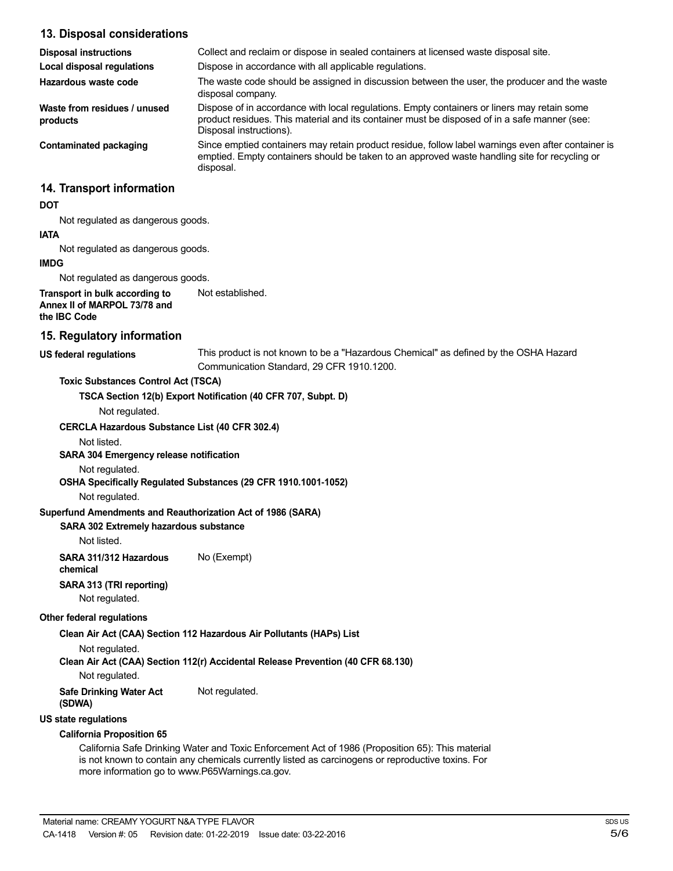| 13. Disposal considerations                                                    |                                                                                                                                                                                                                        |
|--------------------------------------------------------------------------------|------------------------------------------------------------------------------------------------------------------------------------------------------------------------------------------------------------------------|
| <b>Disposal instructions</b>                                                   | Collect and reclaim or dispose in sealed containers at licensed waste disposal site.                                                                                                                                   |
| <b>Local disposal regulations</b>                                              | Dispose in accordance with all applicable regulations.                                                                                                                                                                 |
| Hazardous waste code                                                           | The waste code should be assigned in discussion between the user, the producer and the waste<br>disposal company.                                                                                                      |
| Waste from residues / unused<br>products                                       | Dispose of in accordance with local regulations. Empty containers or liners may retain some<br>product residues. This material and its container must be disposed of in a safe manner (see:<br>Disposal instructions). |
| <b>Contaminated packaging</b>                                                  | Since emptied containers may retain product residue, follow label warnings even after container is<br>emptied. Empty containers should be taken to an approved waste handling site for recycling or<br>disposal.       |
| 14. Transport information                                                      |                                                                                                                                                                                                                        |
| <b>DOT</b>                                                                     |                                                                                                                                                                                                                        |
| Not regulated as dangerous goods.                                              |                                                                                                                                                                                                                        |
| <b>IATA</b>                                                                    |                                                                                                                                                                                                                        |
| Not regulated as dangerous goods.                                              |                                                                                                                                                                                                                        |
| <b>IMDG</b>                                                                    |                                                                                                                                                                                                                        |
| Not regulated as dangerous goods.                                              |                                                                                                                                                                                                                        |
| Transport in bulk according to<br>Annex II of MARPOL 73/78 and<br>the IBC Code | Not established.                                                                                                                                                                                                       |
| 15. Regulatory information                                                     |                                                                                                                                                                                                                        |
| <b>US federal regulations</b>                                                  | This product is not known to be a "Hazardous Chemical" as defined by the OSHA Hazard<br>Communication Standard, 29 CFR 1910.1200.                                                                                      |
| <b>Toxic Substances Control Act (TSCA)</b>                                     |                                                                                                                                                                                                                        |
|                                                                                | TSCA Section 12(b) Export Notification (40 CFR 707, Subpt. D)                                                                                                                                                          |
| Not regulated.                                                                 |                                                                                                                                                                                                                        |
| CERCLA Hazardous Substance List (40 CFR 302.4)                                 |                                                                                                                                                                                                                        |
| Not listed.                                                                    |                                                                                                                                                                                                                        |
| SARA 304 Emergency release notification                                        |                                                                                                                                                                                                                        |
| Not regulated.                                                                 |                                                                                                                                                                                                                        |
|                                                                                | OSHA Specifically Regulated Substances (29 CFR 1910.1001-1052)                                                                                                                                                         |
| Not regulated.                                                                 |                                                                                                                                                                                                                        |
| Superfund Amendments and Reauthorization Act of 1986 (SARA)                    |                                                                                                                                                                                                                        |
| SARA 302 Extremely hazardous substance                                         |                                                                                                                                                                                                                        |
| Not listed.                                                                    |                                                                                                                                                                                                                        |

**SARA 311/312 Hazardous** No (Exempt) **chemical**

**SARA 313 (TRI reporting)**

Not regulated.

#### **Other federal regulations**

**Clean Air Act (CAA) Section 112 Hazardous Air Pollutants (HAPs) List**

Not regulated.

**Clean Air Act (CAA) Section 112(r) Accidental Release Prevention (40 CFR 68.130)**

Not regulated.

**Safe Drinking Water Act** Not regulated.

**(SDWA)**

**US state regulations**

#### **California Proposition 65**

California Safe Drinking Water and Toxic Enforcement Act of 1986 (Proposition 65): This material is not known to contain any chemicals currently listed as carcinogens or reproductive toxins. For more information go to www.P65Warnings.ca.gov.